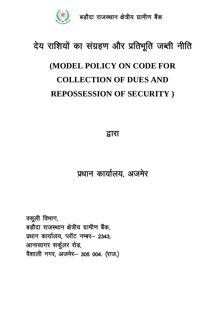

# देय राशियों का संग्रहण और प्रतिभूति जब्ती नीति

## (MODEL POLICY ON CODE FOR **COLLECTION OF DUES AND** REPOSSESSION OF SECURITY)

द्वारा

### प्रधान कार्यालय, अजमेर

वसूली विभाग, बड़ौदा राजस्थान क्षेत्रीय ग्रामीण बैंक, प्रधान कार्यालय, प्लॉट नम्बर- 2343, आनासागर सर्कूलर रोड़, वैशाली नगर, अजमेर- 305 004. (राज.)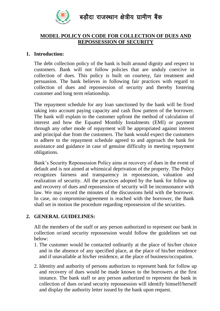

### **MODEL POLICY ON CODE FOR COLLECTION OF DUES AND REPOSSESSION OF SECURITY**

#### **1. Introduction:**

The debt collection policy of the bank is built around dignity and respect to customers. Bank will not follow policies that are unduly coercive in collection of dues. This policy is built on courtesy, fair treatment and persuasion. The bank believes in following fair practices with regard to collection of dues and repossession of security and thereby fostering customer and long term relationship.

The repayment schedule for any loan sanctioned by the bank will be fixed taking into account paying capacity and cash flow pattern of the borrower. The bank will explain to the customer upfront the method of calculation of interest and how the Equated Monthly Instalments (EMI) or payment through any other mode of repayment will be appropriated against interest and principal due from the customers. The bank would expect the customers to adhere to the repayment schedule agreed to and approach the bank for assistance and guidance in case of genuine difficulty in meeting repayment obligations.

Bank's Security Repossession Policy aims at recovery of dues in the event of default and is not aimed at whimsical deprivation of the property. The Policy recognizes fairness and transparency in repossession, valuation and realization of security. All the practices adopted by the bank for follow up and recovery of dues and repossession of security will be inconsonance with law. We may record the minutes of the discussions held with the borrower. In case, no compromise/agreement is reached with the borrower, the Bank shall set in motion the procedure regarding repossession of the securities.

### **2. GENERAL GUIDELINES:**

All the members of the staff or any person authorized to represent our bank in collection or/and security repossession would follow the guidelines set out below:

- 1. The customer would be contacted ordinarily at the place of his/her choice and in the absence of any specified place, at the place of his/her residence and if unavailable at his/her residence, at the place of business/occupation.
- 2. Identity and authority of persons authorizes to represent bank for follow up and recovery of dues would be made known to the borrowers at the first instance. The bank staff or any person authorized to represent the bank in collection of dues or/and security repossession will identify himself/herself and display the authority letter issued by the bank upon request.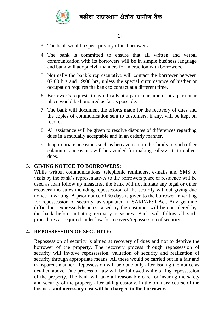

- 3. The bank would respect privacy of its borrowers.
- 4. The bank is committed to ensure that all written and verbal communication with its borrowers will be in simple business language and bank will adopt civil manners for interaction with borrowers.
- 5. Normally the bank's representative will contact the borrower between 07:00 hrs and 19:00 hrs, unless the special circumstance of his/her or occupation requires the bank to contact at a different time.
- 6. Borrower's requests to avoid calls at a particular time or at a particular place would be honoured as far as possible.
- 7. The bank will document the efforts made for the recovery of dues and the copies of communication sent to customers, if any, will be kept on record.
- 8. All assistance will be given to resolve disputes of differences regarding dues in a mutually acceptable and in an orderly manner.
- 9. Inappropriate occasions such as bereavement in the family or such other calamitous occasions will be avoided for making calls/visits to collect dues.

### **3. GIVING NOTICE TO BORROWERS:**

While written communications, telephonic reminders, e-mails and SMS or visits by the bank's representatives to the borrowers place or residence will be used as loan follow up measures, the bank will not initiate any legal or other recovery measures including repossession of the security without giving due notice in writing. A prior notice of 60 days is given to the borrower in writing for repossession of security, as stipulated in SARFAESI Act. Any genuine difficulties expressed/disputes raised by the customer will be considered by the bank before initiating recovery measures. Bank will follow all such procedures as required under law for recovery/repossession of security.

### **4. REPOSSESSION OF SECURITY:**

Repossession of security is aimed at recovery of dues and not to deprive the borrower of the property. The recovery process through repossession of security will involve repossession, valuation of security and realization of security through appropriate means. All these would be carried out in a fair and transparent manner. Repossession will be done only after issuing the notice as detailed above. Due process of law will be followed while taking repossession of the property. The bank will take all reasonable care for insuring the safety and security of the property after taking custody, in the ordinary course of the business **and necessary cost will be charged to the borrower.**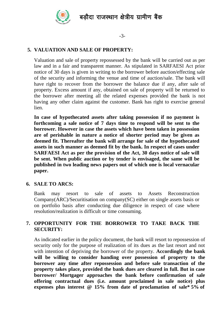

-3-

### **5. VALUATION AND SALE OF PROPERTY:**

Valuation and sale of property repossessed by the bank will be carried out as per law and in a fair and transparent manner. As stipulated in SARFAESI Act prior notice of 30 days is given in writing to the borrower before auction/effecting sale of the security and informing the venue and time of auction/sale. The bank will have right to recover from the borrower the balance due if any, after sale of property. Excess amount if any, obtained on sale of property will be returned to the borrower after meeting all the related expenses provided the bank is not having any other claim against the customer. Bank has right to exercise general lien.

**In case of hypothecated assets after taking possession if no payment is forthcoming a sale notice of 7 days time to respond will be sent to the borrower. However in case the assets which have been taken in possession are of perishable in nature a notice of shorter period may be given as deemed fit. Thereafter the bank will arrange for sale of the hypothecated assets in such manner as deemed fit by the bank. In respect of cases under SARFAESI Act as per the provision of the Act, 30 days notice of sale will be sent. When public auction or by tender is envisaged, the same will be published in two leading news papers out of which one is local vernacular paper.**

#### **6. SALE TO ARCS:**

Bank may resort to sale of assets to Assets Reconstruction Company(ARC)/Securitisation on company(SC) either on single assets basis or on portfolio basis after conducting due diligence in respect of case where resolution/realization is difficult or time consuming.

### **7. OPPORTUNITY FOR THE BORROWER TO TAKE BACK THE SECURITY:**

As indicated earlier in the policy document, the bank will resort to repossession of security only for the purpose of realization of its dues as the last resort and not with intention of depriving the borrower of the property. **Accordingly the bank will be willing to consider handing over possession of property to the borrower any time after repossession and before sale transaction of the property takes place, provided the bank dues are cleared in full. But in case borrower/ Mortgager approaches the bank before confirmation of sale offering contractual dues (i.e. amount proclaimed in sale notice) plus expenses plus interest @ 15% from date of proclamation of sale\* 5% of**